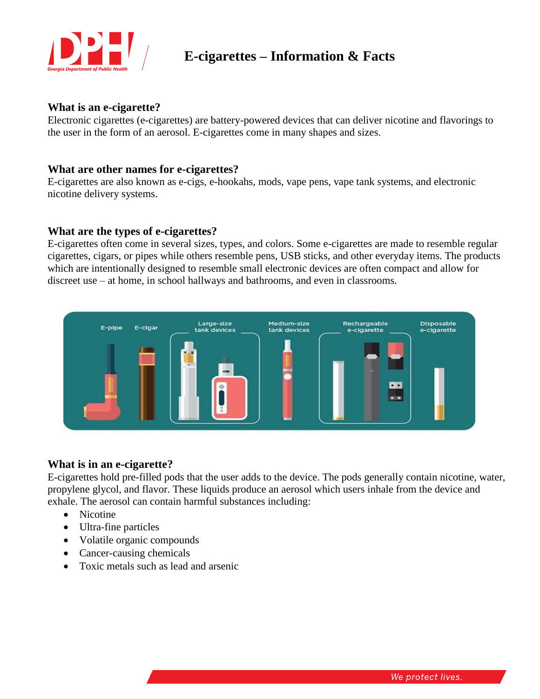

# **E-cigarettes – Information & Facts**

# **What is an e-cigarette?**

Electronic cigarettes (e-cigarettes) are battery-powered devices that can deliver nicotine and flavorings to the user in the form of an aerosol. E-cigarettes come in many shapes and sizes.

## **What are other names for e-cigarettes?**

E-cigarettes are also known as e-cigs, e-hookahs, mods, vape pens, vape tank systems, and electronic nicotine delivery systems.

## **What are the types of e-cigarettes?**

E-cigarettes often come in several sizes, types, and colors. Some e-cigarettes are made to resemble regular cigarettes, cigars, or pipes while others resemble pens, USB sticks, and other everyday items. The products which are intentionally designed to resemble small electronic devices are often compact and allow for discreet use – at home, in school hallways and bathrooms, and even in classrooms.



# **What is in an e-cigarette?**

E-cigarettes hold pre-filled pods that the user adds to the device. The pods generally contain nicotine, water, propylene glycol, and flavor. These liquids produce an aerosol which users inhale from the device and exhale. The aerosol can contain harmful substances including:

- Nicotine
- Ultra-fine particles
- Volatile organic compounds
- Cancer-causing chemicals
- Toxic metals such as lead and arsenic